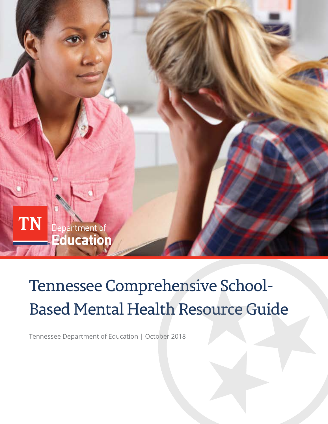

# Tennessee Comprehensive School-Based Mental Health Resource Guide

Tennessee Department of Education | October 2018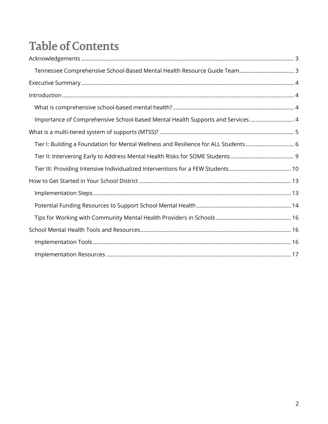## **Table of Contents**

| Tennessee Comprehensive School-Based Mental Health Resource Guide Team 3            |
|-------------------------------------------------------------------------------------|
|                                                                                     |
|                                                                                     |
|                                                                                     |
| Importance of Comprehensive School-based Mental Health Supports and Services  4     |
|                                                                                     |
| Tier I: Building a Foundation for Mental Wellness and Resilience for ALL Students 6 |
|                                                                                     |
|                                                                                     |
|                                                                                     |
|                                                                                     |
|                                                                                     |
|                                                                                     |
|                                                                                     |
|                                                                                     |
|                                                                                     |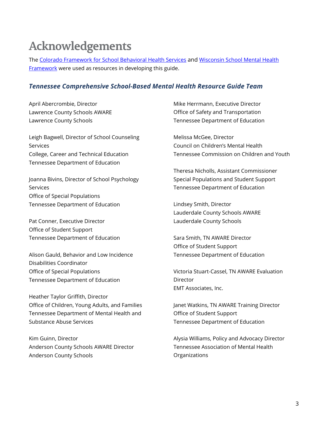## <span id="page-2-0"></span>**Acknowledgements**

The [Colorado Framework for School Behavioral Health Services](http://www.coloradoedinitiative.org/resources/schoolbehavioralhealth/) and [Wisconsin School Mental Health](https://dpi.wi.gov/sspw/mental-health/framework)  [Framework](https://dpi.wi.gov/sspw/mental-health/framework) were used as resources in developing this guide.

#### <span id="page-2-1"></span>*Tennessee Comprehensive School-Based Mental Health Resource Guide Team*

April Abercrombie, Director Lawrence County Schools AWARE Lawrence County Schools

Leigh Bagwell, Director of School Counseling Services College, Career and Technical Education Tennessee Department of Education

Joanna Bivins, Director of School Psychology Services Office of Special Populations Tennessee Department of Education

Pat Conner, Executive Director Office of Student Support Tennessee Department of Education

Alison Gauld, Behavior and Low Incidence Disabilities Coordinator Office of Special Populations Tennessee Department of Education

Heather Taylor Griffith, Director Office of Children, Young Adults, and Families Tennessee Department of Mental Health and Substance Abuse Services

Kim Guinn, Director Anderson County Schools AWARE Director Anderson County Schools

Mike Herrmann, Executive Director Office of Safety and Transportation Tennessee Department of Education

Melissa McGee, Director Council on Children's Mental Health Tennessee Commission on Children and Youth

Theresa Nicholls, Assistant Commissioner Special Populations and Student Support Tennessee Department of Education

Lindsey Smith, Director Lauderdale County Schools AWARE Lauderdale County Schools

Sara Smith, TN AWARE Director Office of Student Support Tennessee Department of Education

Victoria Stuart-Cassel, TN AWARE Evaluation **Director** EMT Associates, Inc.

Janet Watkins, TN AWARE Training Director Office of Student Support Tennessee Department of Education

Alysia Williams, Policy and Advocacy Director Tennessee Association of Mental Health **Organizations**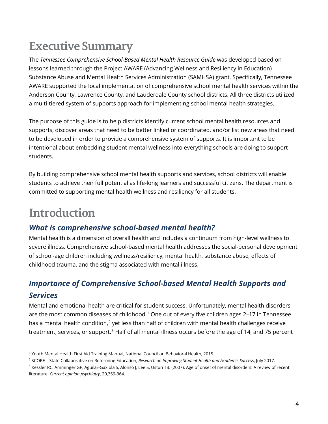## <span id="page-3-0"></span>**Executive Summary**

The *Tennessee Comprehensive School-Based Mental Health Resource Guide* was developed based on lessons learned through the Project AWARE (Advancing Wellness and Resiliency in Education) Substance Abuse and Mental Health Services Administration (SAMHSA) grant. Specifically, Tennessee AWARE supported the local implementation of comprehensive school mental health services within the Anderson County, Lawrence County, and Lauderdale County school districts. All three districts utilized a multi-tiered system of supports approach for implementing school mental health strategies.

The purpose of this guide is to help districts identify current school mental health resources and supports, discover areas that need to be better linked or coordinated, and/or list new areas that need to be developed in order to provide a comprehensive system of supports. It is important to be intentional about embedding student mental wellness into everything schools are doing to support students.

By building comprehensive school mental health supports and services, school districts will enable students to achieve their full potential as life-long learners and successful citizens. The department is committed to supporting mental health wellness and resiliency for all students.

## <span id="page-3-1"></span>**Introduction**

 $\overline{a}$ 

### <span id="page-3-2"></span>*What is comprehensive school-based mental health?*

Mental health is a dimension of overall health and includes a continuum from high-level wellness to severe illness. Comprehensive school-based mental health addresses the social-personal development of school-age children including wellness/resiliency, mental health, substance abuse, effects of childhood trauma, and the stigma associated with mental illness.

## <span id="page-3-3"></span>*Importance of Comprehensive School-based Mental Health Supports and Services*

Mental and emotional health are critical for student success. Unfortunately, mental health disorders are the most common diseases of childhood.<sup>[1](#page-3-4)</sup> One out of every five children ages 2–17 in Tennessee has a mental health condition,<sup>[2](#page-3-5)</sup> yet less than half of children with mental health challenges receive treatment, services, or support.<sup>[3](#page-3-6)</sup> Half of all mental illness occurs before the age of 14, and 75 percent

<span id="page-3-4"></span><sup>1</sup> Youth Mental Health First Aid Training Manual, National Council on Behavioral Health, 2015.

<span id="page-3-5"></span><sup>2</sup> SCORE – State Collaborative on Reforming Education, *Research on Improving Student Health and Academic Success*, July 2017.

<span id="page-3-6"></span><sup>&</sup>lt;sup>3</sup> Kessler RC, Amminger GP, Aguilar-Gaxiola S, Alonso J, Lee S, Ustun TB. (2007). Age of onset of mental disorders: A review of recent literature. *Current opinion psychiatry*, 20,359-364.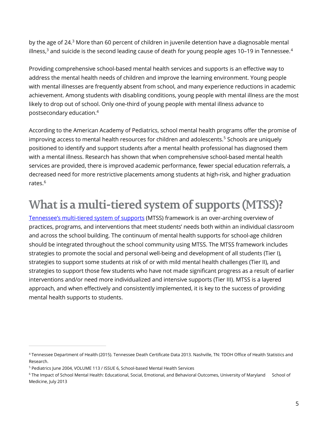by the age of 24.<sup>3</sup> More than 60 percent of children in juvenile detention have a diagnosable mental illness, $^3$  and suicide is the second leading cause of death for young people ages 10–19 in Tennessee. $^4$  $^4$ 

Providing comprehensive school-based mental health services and supports is an effective way to address the mental health needs of children and improve the learning environment. Young people with mental illnesses are frequently absent from school, and many experience reductions in academic achievement. Among students with disabling conditions, young people with mental illness are the most likely to drop out of school. Only one-third of young people with mental illness advance to postsecondary education.4

According to the American Academy of Pediatrics, school mental health programs offer the promise of improving access to mental health resources for children and adolescents.<sup>[5](#page-4-2)</sup> Schools are uniquely positioned to identify and support students after a mental health professional has diagnosed them with a mental illness. Research has shown that when comprehensive school-based mental health services are provided, there is improved academic performance, fewer special education referrals, a decreased need for more restrictive placements among students at high-risk, and higher graduation rates.<sup>[6](#page-4-3)</sup>

## <span id="page-4-0"></span>**What is a multi-tiered system of supports (MTSS)?**

[Tennessee's multi-tiered system of supports](https://www.tn.gov/education/student-support/student-supports-in-tn.html) (MTSS) framework is an over-arching overview of practices, programs, and interventions that meet students' needs both within an individual classroom and across the school building. The continuum of mental health supports for school-age children should be integrated throughout the school community using MTSS. The MTSS framework includes strategies to promote the social and personal well-being and development of all students (Tier I), strategies to support some students at risk of or with mild mental health challenges (Tier II), and strategies to support those few students who have not made significant progress as a result of earlier interventions and/or need more individualized and intensive supports (Tier III). MTSS is a layered approach, and when effectively and consistently implemented, it is key to the success of providing mental health supports to students.

 $\overline{a}$ 

<span id="page-4-1"></span><sup>4</sup> Tennessee Department of Health (2015). Tennessee Death Certificate Data 2013. Nashville, TN: TDOH Office of Health Statistics and Research.

<span id="page-4-2"></span><sup>5</sup> Pediatrics June 2004, VOLUME 113 / ISSUE 6, School-based Mental Health Services

<span id="page-4-3"></span><sup>6</sup> The Impact of School Mental Health: Educational, Social, Emotional, and Behavioral Outcomes, University of Maryland School of Medicine, July 2013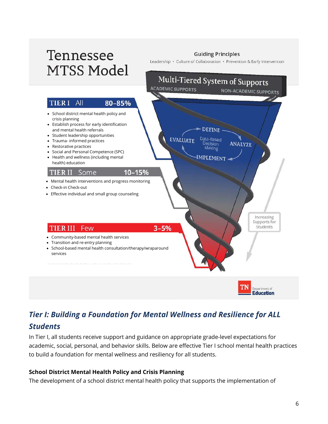

## <span id="page-5-0"></span>*Tier I: Building a Foundation for Mental Wellness and Resilience for ALL Students*

In Tier I, all students receive support and guidance on appropriate grade-level expectations for academic, social, personal, and behavior skills. Below are effective Tier I school mental health practices to build a foundation for mental wellness and resiliency for all students.

#### **School District Mental Health Policy and Crisis Planning**

The development of a school district mental health policy that supports the implementation of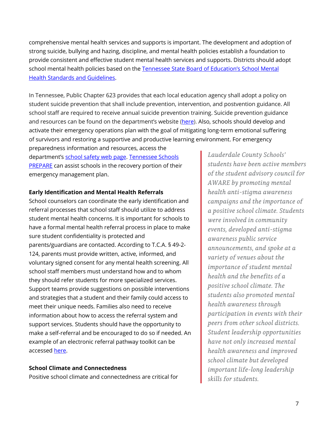comprehensive mental health services and supports is important. The development and adoption of strong suicide, bullying and hazing, discipline, and mental health policies establish a foundation to provide consistent and effective student mental health services and supports. Districts should adopt school mental health policies based on the [Tennessee State Board of Education's School Mental](https://www.tn.gov/content/dam/tn/stateboardofeducation/documents/policies/4000/4.209_Mental_Health_Guidelines.pdf)  [Health Standards and Guidelines.](https://www.tn.gov/content/dam/tn/stateboardofeducation/documents/policies/4000/4.209_Mental_Health_Guidelines.pdf)

In Tennessee, Public Chapter 623 provides that each local education agency shall adopt a policy on student suicide prevention that shall include prevention, intervention, and postvention guidance. All school staff are required to receive annual suicide prevention training. Suicide prevention guidance and resources can be found on the department's website [\(here\)](https://www.tn.gov/education/health-and-safety/suicide-prevention.html). Also, schools should develop and activate their emergency operations plan with the goal of mitigating long-term emotional suffering of survivors and restoring a supportive and productive learning environment. For emergency

preparedness information and resources, access the department's [school safety web page.](https://www.tn.gov/education/health-and-safety/school-safety.html) [Tennessee Schools](https://www.tn.gov/education/health-and-safety/safe-schools-training.html)  [PREPARE](https://www.tn.gov/education/health-and-safety/safe-schools-training.html) can assist schools in the recovery portion of their emergency management plan.

#### **Early Identification and Mental Health Referrals**

School counselors can coordinate the early identification and referral processes that school staff should utilize to address student mental health concerns. It is important for schools to have a formal mental health referral process in place to make sure student confidentiality is protected and parents/guardians are contacted. According to T.C.A. § 49-2- 124, parents must provide written, active, informed, and voluntary signed consent for any mental health screening. All school staff members must understand how and to whom they should refer students for more specialized services. Support teams provide suggestions on possible interventions and strategies that a student and their family could access to meet their unique needs. Families also need to receive information about how to access the referral system and support services. Students should have the opportunity to make a self-referral and be encouraged to do so if needed. An example of an electronic referral pathway toolkit can be accessed [here.](https://knowledge.samhsa.gov/resources/school-mental-health-referral-pathways-toolkit)

#### **School Climate and Connectedness**

Positive school climate and connectedness are critical for

*Lauderdale County Schools' students have been active members of the student advisory council for AWARE by promoting mental health anti-stigma awareness campaigns and the importance of a positive school climate. Students were involved in community events, developed anti-stigma awareness public service announcements, and spoke at a variety of venues about the importance of student mental health and the benefits of a positive school climate. The students also promoted mental health awareness through participation in events with their peers from other school districts. Student leadership opportunities have not only increased mental health awareness and improved school climate but developed important life-long leadership skills for students.*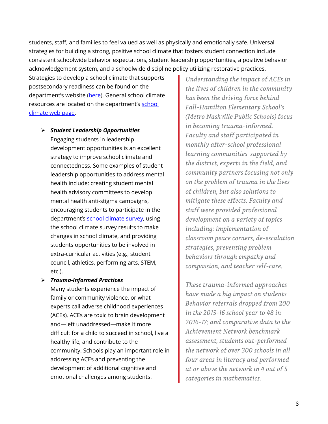students, staff, and families to feel valued as well as physically and emotionally safe. Universal strategies for building a strong, positive school climate that fosters student connection include consistent schoolwide behavior expectations, student leadership opportunities, a positive behavior acknowledgement system, and a schoolwide discipline policy utilizing restorative practices.

Strategies to develop a school climate that supports postsecondary readiness can be found on the department's website [\(here\)](https://www.tn.gov/content/dam/tn/education/ccte/ccte_sr_a_path_of_choice.pdf). General school climate resources are located on the department's [school](https://www.tn.gov/education/health-and-safety/school-climate.html)  [climate web page.](https://www.tn.gov/education/health-and-safety/school-climate.html)

- *Student Leadership Opportunities* Engaging students in leadership development opportunities is an excellent strategy to improve school climate and connectedness. Some examples of student leadership opportunities to address mental health include: creating student mental health advisory committees to develop mental health anti-stigma campaigns, encouraging students to participate in the department's [school climate survey,](https://www.tn.gov/education/health-and-safety/school-climate.html) using the school climate survey results to make changes in school climate, and providing students opportunities to be involved in extra-curricular activities (e.g., student council, athletics, performing arts, STEM, etc.).
- *Trauma-Informed Practices*

Many students experience the impact of family or community violence, or what experts call adverse childhood experiences (ACEs). ACEs are toxic to brain development and—left unaddressed—make it more difficult for a child to succeed in school, live a healthy life, and contribute to the community. Schools play an important role in addressing ACEs and preventing the development of additional cognitive and emotional challenges among students.

*Understanding the impact of ACEs in the lives of children in the community has been the driving force behind Fall-Hamilton Elementary School's (Metro Nashville Public Schools) focus in becoming trauma-informed. Faculty and staff participated in monthly after-school professional learning communities supported by the district, experts in the field, and community partners focusing not only on the problem of trauma in the lives of children, but also solutions to mitigate these effects. Faculty and staff were provided professional development on a variety of topics including: implementation of classroom peace corners, de-escalation strategies, preventing problem behaviors through empathy and compassion, and teacher self-care.* 

*These trauma-informed approaches have made a big impact on students. Behavior referrals dropped from 200 in the 2015-16 school year to 48 in 2016-17; and comparative data to the Achievement Network benchmark assessment, students out-performed the network of over 300 schools in all four areas in literacy and performed at or above the network in 4 out of 5 categories in mathematics.*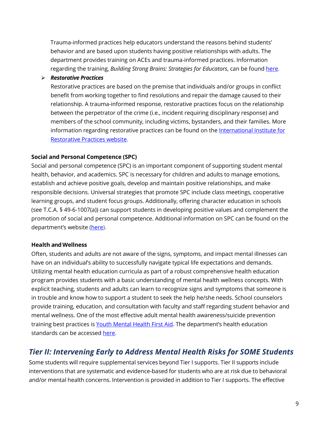Trauma-informed practices help educators understand the reasons behind students' behavior and are based upon students having positive relationships with adults. The department provides training on ACEs and trauma-informed practices. Information regarding the training, *Building Strong Brains: Strategies for Educators*, can be found [here.](https://www.tn.gov/education/health-and-safety/safe-schools-training.html)

#### *Restorative Practices*

Restorative practices are based on the premise that individuals and/or groups in conflict benefit from working together to find resolutions and repair the damage caused to their relationship. A trauma-informed response, restorative practices focus on the relationship between the perpetrator of the crime (i.e., incident requiring disciplinary response) and members of the school community, including victims, bystanders, and their families. More information regarding restorative practices can be found on the [International Institute for](https://www.iirp.edu/what-we-do/defining-restorative/)  [Restorative Practices website.](https://www.iirp.edu/what-we-do/defining-restorative/)

#### **Social and Personal Competence (SPC)**

Social and personal competence (SPC) is an important component of supporting student mental health, behavior, and academics. SPC is necessary for children and adults to manage emotions, establish and achieve positive goals, develop and maintain positive relationships, and make responsible decisions. Universal strategies that promote SPC include class meetings, cooperative learning groups, and student focus groups. Additionally, offering character education in schools (see T.C.A. § 49-6-1007(a)) can support students in developing positive values and complement the promotion of social and personal competence. Additional information on SPC can be found on the department's website [\(here\)](https://www.tn.gov/education/health-and-safety/school-climate/social-and-personal-competencies.html).

#### **Health and Wellness**

Often, students and adults are not aware of the signs, symptoms, and impact mental illnesses can have on an individual's ability to successfully navigate typical life expectations and demands. Utilizing mental health education curricula as part of a robust comprehensive health education program provides students with a basic understanding of mental health wellness concepts. With explicit teaching, students and adults can learn to recognize signs and symptoms that someone is in trouble and know how to support a student to seek the help he/she needs. School counselors provide training, education, and consultation with faculty and staff regarding student behavior and mental wellness. One of the most effective adult mental health awareness/suicide prevention training best practices i[s Youth Mental Health First Aid.](https://www.tn.gov/education/health-and-safety/safe-schools-training.html) The department's health education standards can be accessed [here.](https://www.tn.gov/education/instruction/academic-standards/health-pe-wellness-standards.html)

### <span id="page-8-0"></span>*Tier II: Intervening Early to Address Mental Health Risks for SOME Students*

Some students will require supplemental services beyond Tier I supports. Tier II supports include interventions that are systematic and evidence-based for students who are at risk due to behavioral and/or mental health concerns. Intervention is provided in addition to Tier I supports. The effective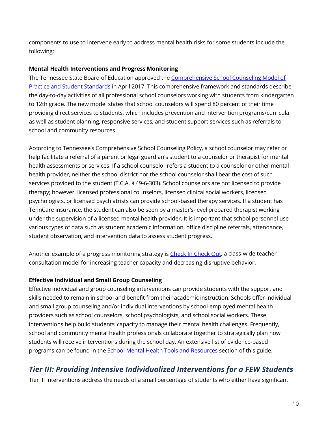components to use to intervene early to address mental health risks for some students include the following:

#### **Mental Health Interventions and Progress Monitoring**

The Tennessee State Board of Education approved the [Comprehensive School Counseling Model of](https://www.tn.gov/education/student-support/school-counseling.html)  [Practice and Student Standards](https://www.tn.gov/education/student-support/school-counseling.html) in April 2017. This comprehensive framework and standards describe the day-to-day activities of all professional school counselors working with students from kindergarten to 12th grade. The new model states that school counselors will spend 80 percent of their time providing direct services to students, which includes prevention and intervention programs/curricula as well as student planning, responsive services, and student support services such as referrals to school and community resources.

According to Tennessee's Comprehensive School Counseling Policy, a school counselor may refer or help facilitate a referral of a parent or legal guardian's student to a counselor or therapist for mental health assessments or services. If a school counselor refers a student to a counselor or other mental health provider, neither the school district nor the school counselor shall bear the cost of such services provided to the student (T.C.A. § 49-6-303). School counselors are not licensed to provide therapy; however, licensed professional counselors, licensed clinical social workers, licensed psychologists, or licensed psychiatrists can provide school-based therapy services. If a student has TennCare insurance, the student can also be seen by a master's-level prepared therapist working under the supervision of a licensed mental health provider. It is important that school personnel use various types of data such as student academic information, office discipline referrals, attendance, student observation, and intervention data to assess student progress.

Another example of a progress monitoring strategy is [Check In Check Out,](http://www.pbisworld.com/tier-2/check-in-check-out-cico/) a class-wide teacher consultation model for increasing teacher capacity and decreasing disruptive behavior.

#### **Effective Individual and Small Group Counseling**

Effective individual and group counseling interventions can provide students with the support and skills needed to remain in school and benefit from their academic instruction. Schools offer individual and small group counseling and/or individual interventions by school-employed mental health providers such as school counselors, school psychologists, and school social workers. These interventions help build students' capacity to manage their mental health challenges. Frequently, school and community mental health professionals collaborate together to strategically plan how students will receive interventions during the school day. An extensive list of evidence-based programs can be found in the **School Mental Health Tools and Resources** section of this guide.

### <span id="page-9-0"></span>*Tier III: Providing Intensive Individualized Interventions for a FEW Students*

Tier III interventions address the needs of a small percentage of students who either have significant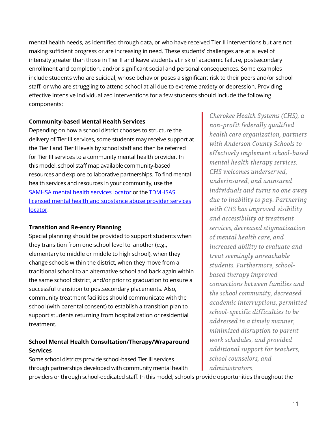mental health needs, as identified through data, or who have received Tier II interventions but are not making sufficient progress or are increasing in need. These students' challenges are at a level of intensity greater than those in Tier II and leave students at risk of academic failure, postsecondary enrollment and completion, and/or significant social and personal consequences. Some examples include students who are suicidal, whose behavior poses a significant risk to their peers and/or school staff, or who are struggling to attend school at all due to extreme anxiety or depression. Providing effective intensive individualized interventions for a few students should include the following components:

#### **Community-based Mental Health Services**

Depending on how a school district chooses to structure the delivery of Tier III services, some students may receive support at the Tier I and Tier II levels by school staff and then be referred for Tier III services to a community mental health provider. In this model, school staff map available community-based resources and explore collaborative partnerships. To find mental health services and resources in your community, use the [SAMHSA mental health services locator](https://www.findtreatment.samhsa.gov/) or th[e TDMHSAS](https://www.tn.gov/behavioral-health/research/tdmhsas-fast-facts-test-3/fast-facts--tdmhsas-licensed-sites.html)  [licensed mental health and substance abuse provider services](https://www.tn.gov/behavioral-health/research/tdmhsas-fast-facts-test-3/fast-facts--tdmhsas-licensed-sites.html)  [locator.](https://www.tn.gov/behavioral-health/research/tdmhsas-fast-facts-test-3/fast-facts--tdmhsas-licensed-sites.html)

#### **Transition and Re-entry Planning**

Special planning should be provided to support students when they transition from one school level to another (e.g., elementary to middle or middle to high school), when they change schools within the district, when they move from a traditional school to an alternative school and back again within the same school district, and/or prior to graduation to ensure a successful transition to postsecondary placements. Also, community treatment facilities should communicate with the school (with parental consent) to establish a transition plan to support students returning from hospitalization or residential treatment.

#### **School Mental Health Consultation/Therapy/Wraparound Services**

Some school districts provide school-based Tier III services through partnerships developed with community mental health *Cherokee Health Systems (CHS), a non-profit federally qualified health care organization, partners with Anderson County Schools to effectively implement school-based mental health therapy services. CHS welcomes underserved, underinsured, and uninsured individuals and turns no one away due to inability to pay. Partnering with CHS has improved visibility and accessibility of treatment services, decreased stigmatization of mental health care, and increased ability to evaluate and treat seemingly unreachable students. Furthermore, schoolbased therapy improved connections between families and the school community, decreased academic interruptions, permitted school-specific difficulties to be addressed in a timely manner, minimized disruption to parent work schedules, and provided additional support for teachers, school counselors, and administrators.*

providers or through school-dedicated staff. In this model, schools provide opportunities throughout the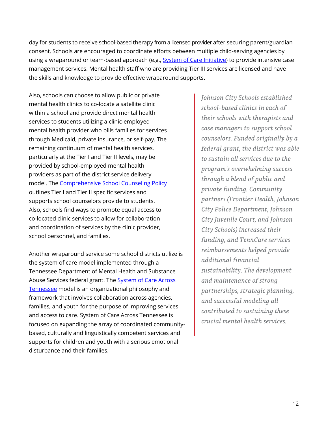day for students to receive school-based therapy from a licensed provider after securing parent/guardian consent. Schools are encouraged to coordinate efforts between multiple child-serving agencies by using a wraparound or team-based approach (e.g., [System of Care Initiative\)](https://www.tn.gov/behavioral-health/mental-health-services/mental-health-services-for-children-and-youth/system-of-care-initiative.html) to provide intensive case management services. Mental health staff who are providing Tier III services are licensed and have the skills and knowledge to provide effective wraparound supports.

Also, schools can choose to allow public or private mental health clinics to co-locate a satellite clinic within a school and provide direct mental health services to students utilizing a clinic-employed mental health provider who bills families for services through Medicaid, private insurance, or self-pay. The remaining continuum of mental health services, particularly at the Tier I and Tier II levels, may be provided by school-employed mental health providers as part of the district service delivery model. The [Comprehensive School Counseling Policy](https://www.tn.gov/education/student-support/school-counseling.html) outlines Tier I and Tier II specific services and supports school counselors provide to students. Also, schools find ways to promote equal access to co-located clinic services to allow for collaboration and coordination of services by the clinic provider, school personnel, and families.

Another wraparound service some school districts utilize is the system of care model implemented through a Tennessee Department of Mental Health and Substance Abuse Services federal grant. The [System of Care Across](http://socacrosstn.org/)  [Tennessee](http://socacrosstn.org/) model is an organizational philosophy and framework that involves collaboration across agencies, families, and youth for the purpose of improving services and access to care. System of Care Across Tennessee is focused on expanding the array of coordinated communitybased, culturally and linguistically competent services and supports for children and youth with a serious emotional disturbance and their families.

*Johnson City Schools established school-based clinics in each of their schools with therapists and case managers to support school counselors. Funded originally by a federal grant, the district was able to sustain all services due to the program's overwhelming success through a blend of public and private funding. Community partners (Frontier Health, Johnson City Police Department, Johnson City Juvenile Court, and Johnson City Schools) increased their funding, and TennCare services reimbursements helped provide additional financial sustainability. The development and maintenance of strong partnerships, strategic planning, and successful modeling all contributed to sustaining these crucial mental health services.*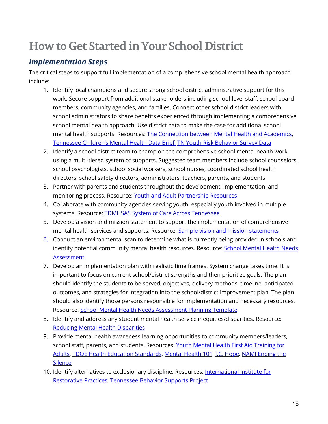## <span id="page-12-0"></span>**How to Get Started in Your School District**

### <span id="page-12-1"></span>*Implementation Steps*

The critical steps to support full implementation of a comprehensive school mental health approach include:

- 1. Identify local champions and secure strong school district administrative support for this work. Secure support from additional stakeholders including school-level staff, school board members, community agencies, and families. Connect other school district leaders with school administrators to share benefits experienced through implementing a comprehensive school mental health approach. Use district data to make the case for additional school mental health supports. Resources: [The Connection between Mental Health and Academics,](https://knowledge.samhsa.gov/resources/mental-health-academic-achievement) [Tennessee Children's Mental Health Data Brief,](https://www.tn.gov/education/health-and-safety/tennessee-aware.html) [TN Youth Risk Behavior Survey Data](https://www.tn.gov/education/health-and-safety/coordinated-school-health/csh-reports-data.html)
- 2. Identify a school district team to champion the comprehensive school mental health work using a multi-tiered system of supports. Suggested team members include school counselors, school psychologists, school social workers, school nurses, coordinated school health directors, school safety directors, administrators, teachers, parents, and students.
- 3. Partner with parents and students throughout the development, implementation, and monitoring process. Resource: [Youth and Adult Partnership Resources](https://gallery.mailchimp.com/b28b453ee164f9a2e2b5057e1/files/9d752396-6b65-4a4f-ab89-122f101e311b/Youth_and_Adult_Partnership.01.pdf)
- 4. Collaborate with community agencies serving youth, especially youth involved in multiple systems. Resource: [TDMHSAS System of Care Across Tennessee](https://www.tn.gov/behavioral-health/mental-health-services/mental-health-services-for-children-and-youth/system-of-care-initiative.html)
- 5. Develop a vision and mission statement to support the implementation of comprehensive mental health services and supports. Resource: [Sample vision and mission statements](https://gallery.mailchimp.com/b28b453ee164f9a2e2b5057e1/files/7b86940a-d81b-413f-8559-1255cc23df17/Vision_and_Mission_Examples.01.pdf)
- 6. Conduct an environmental scan to determine what is currently being provided in schools and identify potential community mental health resources. Resource: School Mental Health Needs [Assessment](https://gallery.mailchimp.com/b28b453ee164f9a2e2b5057e1/files/42074548-51c9-441a-a832-0b340b10678a/TN_School_Mental_Health_Needs_Assessment.02.pdf)
- 7. Develop an implementation plan with realistic time frames. System change takes time. It is important to focus on current school/district strengths and then prioritize goals. The plan should identify the students to be served, objectives, delivery methods, timeline, anticipated outcomes, and strategies for integration into the school/district improvement plan. The plan should also identify those persons responsible for implementation and necessary resources. Resource: [School Mental Health Needs Assessment Planning Template](https://gallery.mailchimp.com/b28b453ee164f9a2e2b5057e1/files/f4b6c10e-a666-4198-9b1f-d62901f7167b/School_Mental_Health_Needs_Assessment_Planning_Template.01.pdf)
- 8. Identify and address any student mental health service inequities/disparities. Resource: [Reducing Mental Health Disparities](https://gallery.mailchimp.com/b28b453ee164f9a2e2b5057e1/files/9832606f-4e8a-4032-af3d-3062abbeb88d/Reducing_Mental_Health_Disparities.02.pdf)
- 9. Provide mental health awareness learning opportunities to community members/leaders, school staff, parents, and students. Resources: [Youth Mental Health First Aid Training for](https://www.tn.gov/education/health-and-safety/tennessee-aware.html)  [Adults,](https://www.tn.gov/education/health-and-safety/tennessee-aware.html) [TDOE Health Education Standards,](https://www.tn.gov/education/instruction/academic-standards/health-pe-wellness-standards.html) [Mental Health 101,](https://www.mhaet.com/what-we-do/mental-health-101/) [I.C. Hope,](http://www.mhamt.org/i-c-hope-erasing-the-stigma/) [NAMI Ending the](https://www.nami.org/Find-Support/NAMI-Programs/NAMI-Ending-the-Silence)  **[Silence](https://www.nami.org/Find-Support/NAMI-Programs/NAMI-Ending-the-Silence)**
- 10. Identify alternatives to exclusionary discipline. Resources: International Institute for [Restorative Practices,](https://www.iirp.edu/what-we-do/defining-restorative/) [Tennessee Behavior Supports Project](http://tennesseebsp.org/about-us/what-is-rti2-b/)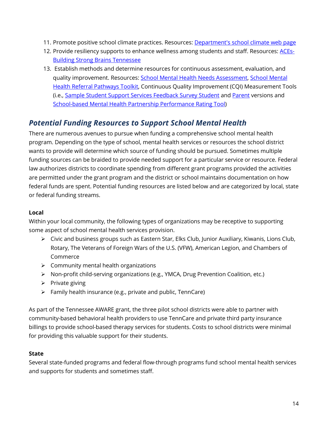- 11. Promote positive school climate practices. Resources: [Department's school climate web page](https://www.tn.gov/education/health-and-safety/school-climate.html)
- 12. Provide resiliency supports to enhance wellness among students and staff. Resources: [ACEs-](https://www.tn.gov/tccy/ace/tccy-ace-building-strong-brains.html)[Building Strong Brains Tennessee](https://www.tn.gov/tccy/ace/tccy-ace-building-strong-brains.html)
- 13. Establish methods and determine resources for continuous assessment, evaluation, and quality improvement. Resources[: School Mental Health Needs Assessment,](https://gallery.mailchimp.com/b28b453ee164f9a2e2b5057e1/files/09ea5b04-071d-4677-9a27-60dfec57ada9/TN_School_Mental_Health_Needs_Assessment.01.pdf) [School Mental](https://knowledge.samhsa.gov/resources/school-mental-health-referral-pathways-toolkit)  [Health Referral Pathways](https://knowledge.samhsa.gov/resources/school-mental-health-referral-pathways-toolkit) Toolkit, Continuous Quality Improvement (CQI) Measurement Tools (i.e., [Sample Student Support Services Feedback Survey Student](https://gallery.mailchimp.com/b28b453ee164f9a2e2b5057e1/files/9318d6a8-8b80-4d43-b080-9e7046dd2cb2/Sample_Student_Support_Services_Student_Feedback_Survey.01.pdf) an[d Parent](https://gallery.mailchimp.com/b28b453ee164f9a2e2b5057e1/files/a26ee6fd-f930-4e0e-a7f8-64c29e65f91d/Sample_Student_Support_Services_Parent_Feedback_Survey.01.pdf) versions and [School-based Mental Health Partnership Performance Rating Tool\)](https://gallery.mailchimp.com/b28b453ee164f9a2e2b5057e1/files/6025e9e4-cd0a-4a6e-9541-9859a6b0b75e/School_based_Mental_Health_Partnership_Performance_Rating_Tool.01.pdf)

### <span id="page-13-0"></span>*Potential Funding Resources to Support School Mental Health*

There are numerous avenues to pursue when funding a comprehensive school mental health program. Depending on the type of school, mental health services or resources the school district wants to provide will determine which source of funding should be pursued. Sometimes multiple funding sources can be braided to provide needed support for a particular service or resource. Federal law authorizes districts to coordinate spending from different grant programs provided the activities are permitted under the grant program and the district or school maintains documentation on how federal funds are spent. Potential funding resources are listed below and are categorized by local, state or federal funding streams.

#### **Local**

Within your local community, the following types of organizations may be receptive to supporting some aspect of school mental health services provision.

- $\triangleright$  Civic and business groups such as Eastern Star, Elks Club, Junior Auxiliary, Kiwanis, Lions Club, Rotary, The Veterans of Foreign Wars of the U.S. (VFW), American Legion, and Chambers of Commerce
- $\triangleright$  Community mental health organizations
- $\triangleright$  Non-profit child-serving organizations (e.g., YMCA, Drug Prevention Coalition, etc.)
- $\triangleright$  Private giving
- $\triangleright$  Family health insurance (e.g., private and public, TennCare)

As part of the Tennessee AWARE grant, the three pilot school districts were able to partner with community-based behavioral health providers to use TennCare and private third party insurance billings to provide school-based therapy services for students. Costs to school districts were minimal for providing this valuable support for their students.

#### **State**

Several state-funded programs and federal flow-through programs fund school mental health services and supports for students and sometimes staff.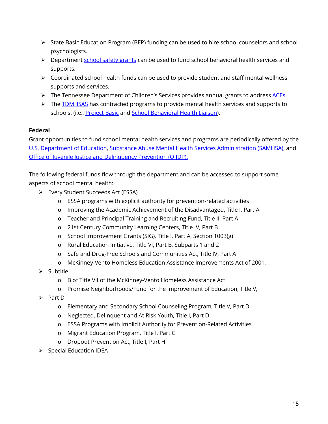- $\triangleright$  State Basic Education Program (BEP) funding can be used to hire school counselors and school psychologists.
- $\triangleright$  Department [school safety grants](https://www.tn.gov/content/tn/education/health-and-safety/school-safety/safe-schools-act.html) can be used to fund school behavioral health services and supports.
- $\triangleright$  Coordinated school health funds can be used to provide student and staff mental wellness supports and services.
- $\triangleright$  The Tennessee Department of Children's Services provides annual grants to addres[s ACEs.](https://www.tn.gov/dcs/program-areas/child-health/aces.html)
- $\triangleright$  The [TDMHSAS](https://www.tn.gov/content/tn/behavioral-health.html) has contracted programs to provide mental health services and supports to schools. (i.e., [Project Basic](https://www.tn.gov/behavioral-health/mental-health-services/mental-health-services-for-children-and-youth/programs---services/programs-and-services/basic--better-attitudes-and-skills-in-children.html) and [School Behavioral Health Liaison\)](https://www.tn.gov/behavioral-health/mental-health-services/mental-health-services-for-children-and-youth/programs---services/programs-and-services/school-based-mental-health-liaisons.html).

#### **Federal**

Grant opportunities to fund school mental health services and programs are periodically offered by the [U.S. Department of Education,](https://www2.ed.gov/fund/grants-apply.html?src=pn) [Substance Abuse Mental Health Services Administration \(SAMHSA\),](https://www.samhsa.gov/grants) and [Office of Juvenile Justice and Delinquency Prevention \(OJJDP\).](https://www.ojjdp.gov/funding/funding.html) 

The following federal funds flow through the department and can be accessed to support some aspects of school mental health:

- Every Student Succeeds Act (ESSA)
	- o ESSA programs with explicit authority for prevention-related activities
	- o Improving the Academic Achievement of the Disadvantaged, Title I, Part A
	- o Teacher and Principal Training and Recruiting Fund, Title II, Part A
	- o 21st Century Community Learning Centers, Title IV, Part B
	- o School Improvement Grants (SIG), Title I, Part A, Section 1003(g)
	- o Rural Education Initiative, Title VI, Part B, Subparts 1 and 2
	- o Safe and Drug-Free Schools and Communities Act, Title IV, Part A
	- o McKinney-Vento Homeless Education Assistance Improvements Act of 2001,
- $\triangleright$  Subtitle
	- o B of Title VII of the McKinney-Vento Homeless Assistance Act
	- o Promise Neighborhoods/Fund for the Improvement of Education, Title V,
- $\triangleright$  Part D
	- o Elementary and Secondary School Counseling Program, Title V, Part D
	- o Neglected, Delinquent and At Risk Youth, Title I, Part D
	- o ESSA Programs with Implicit Authority for Prevention-Related Activities
	- o Migrant Education Program, Title I, Part C
	- o Dropout Prevention Act, Title I, Part H
- $\triangleright$  Special Education IDEA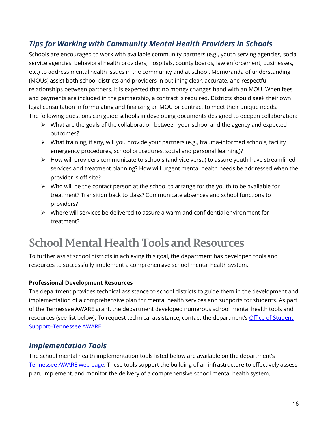### <span id="page-15-0"></span>*Tips for Working with Community Mental Health Providers in Schools*

Schools are encouraged to work with available community partners (e.g., youth serving agencies, social service agencies, behavioral health providers, hospitals, county boards, law enforcement, businesses, etc.) to address mental health issues in the community and at school. Memoranda of understanding (MOUs) assist both school districts and providers in outlining clear, accurate, and respectful relationships between partners. It is expected that no money changes hand with an MOU. When fees and payments are included in the partnership, a contract is required. Districts should seek their own legal consultation in formulating and finalizing an MOU or contract to meet their unique needs. The following questions can guide schools in developing documents designed to deepen collaboration:

- $\triangleright$  What are the goals of the collaboration between your school and the agency and expected outcomes?
- $\triangleright$  What training, if any, will you provide your partners (e.g., trauma-informed schools, facility emergency procedures, school procedures, social and personal learning)?
- $\triangleright$  How will providers communicate to schools (and vice versa) to assure youth have streamlined services and treatment planning? How will urgent mental health needs be addressed when the provider is off-site?
- $\triangleright$  Who will be the contact person at the school to arrange for the youth to be available for treatment? Transition back to class? Communicate absences and school functions to providers?
- $\triangleright$  Where will services be delivered to assure a warm and confidential environment for treatment?

## <span id="page-15-3"></span><span id="page-15-1"></span>**School Mental Health Tools and Resources**

To further assist school districts in achieving this goal, the department has developed tools and resources to successfully implement a comprehensive school mental health system.

#### **Professional Development Resources**

The department provides technical assistance to school districts to guide them in the development and implementation of a comprehensive plan for mental health services and supports for students. As part of the Tennessee AWARE grant, the department developed numerous school mental health tools and resources (see list below). To request technical assistance, contact the department's Office of Student [Support–Tennessee AWARE.](https://www.tn.gov/content/tn/education/health-and-safety/tennessee-aware.html)

### <span id="page-15-2"></span>*Implementation Tools*

The school mental health implementation tools listed below are available on the department's [Tennessee AWARE web page.](https://www.tn.gov/content/tn/education/health-and-safety/tennessee-aware.html) These tools support the building of an infrastructure to effectively assess, plan, implement, and monitor the delivery of a comprehensive school mental health system.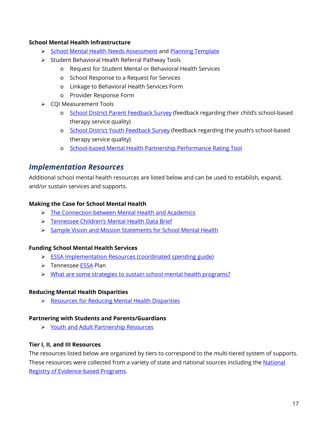#### **School Mental Health Infrastructure**

- [School Mental Health Needs Assessment](https://gallery.mailchimp.com/b28b453ee164f9a2e2b5057e1/files/09ea5b04-071d-4677-9a27-60dfec57ada9/TN_School_Mental_Health_Needs_Assessment.01.pdf) and [Planning Template](https://gallery.mailchimp.com/b28b453ee164f9a2e2b5057e1/files/f4b6c10e-a666-4198-9b1f-d62901f7167b/School_Mental_Health_Needs_Assessment_Planning_Template.01.pdf)
- $\triangleright$  Student Behavioral Health Referral Pathway Tools
	- o Request for Student Mental or Behavioral Health Services
	- o School Response to a Request for Services
	- o Linkage to Behavioral Health Services Form
	- o Provider Response Form
- $\triangleright$  COI Measurement Tools
	- o [School District Parent Feedback Survey](https://gallery.mailchimp.com/b28b453ee164f9a2e2b5057e1/files/a26ee6fd-f930-4e0e-a7f8-64c29e65f91d/Sample_Student_Support_Services_Parent_Feedback_Survey.01.pdf) (feedback regarding their child's school-based therapy service quality)
	- o [School District Youth Feedback Survey](https://gallery.mailchimp.com/b28b453ee164f9a2e2b5057e1/files/9318d6a8-8b80-4d43-b080-9e7046dd2cb2/Sample_Student_Support_Services_Student_Feedback_Survey.01.pdf) (feedback regarding the youth's school-based therapy service quality)
	- o [School-based Mental Health Partnership Performance Rating Tool](https://gallery.mailchimp.com/b28b453ee164f9a2e2b5057e1/files/6025e9e4-cd0a-4a6e-9541-9859a6b0b75e/School_based_Mental_Health_Partnership_Performance_Rating_Tool.01.pdf)

#### <span id="page-16-0"></span>*Implementation Resources*

Additional school mental health resources are listed below and can be used to establish, expand, and/or sustain services and supports.

#### **Making the Case for School Mental Health**

- > [The Connection between Mental Health and Academics](https://knowledge.samhsa.gov/resources/mental-health-academic-achievement)
- **Fennessee Children's Mental Health Data Brief**
- [Sample Vision and Mission Statements for School Mental Health](https://gallery.mailchimp.com/b28b453ee164f9a2e2b5057e1/files/7b86940a-d81b-413f-8559-1255cc23df17/Vision_and_Mission_Examples.01.pdf)

#### **Funding School Mental Health Services**

- [ESSA Implementation Resources \(coordinated spending guide\)](https://www.tn.gov/education/essa/essa-implementation-resources.html)
- > Tennesse[e ESSA](https://www.tn.gov/education/essa.html) Plan
- What are [some strategies to sustain school mental health programs?](http://r20.rs6.net/tn.jsp?f=001d4IMAQM6g0GSBDUj1_WPyotnFZnqc2dqoOrAE-9bkw6ik0yBtGPul84zCX_1VGxEzg-bfZbeWxxAW9Rubb1d932YgkP19WqvJdliRlJX98z2haIUruXfPRaQz-G9XgsWreCfPaYd5hF2lfm3Q9XpsrTBr1Q2Busnk-gMmuY1LkoZg9W98IT5xXWypxXz71N2bPmRG6dmp71qDeiMCzJW98764R45Vxlb-1uExnAgW_bIHUrH2NjK2BdwblQdFIUtK2f_KQl4L8KXRzPjVgMk85bgZlPbxM4qUBsQ8_6dRaMOs_kg8Wgw5w==&c=bpJSEkoQoaNg0LHT3y3HIdL_uKhQTRr4HK9UJIKOkNBliVw5IRVLqg==&ch=gyVFtgC0S2NCd6iJ9tDK90ogsv636v4ozhAlieEgSoGdMCPVSLlyhQ==)

#### **Reducing Mental Health Disparities**

**► Resources for Reducing Mental Health Disparities** 

#### **Partnering with Students and Parents/Guardians**

**► [Youth and Adult Partnership Resources](https://gallery.mailchimp.com/b28b453ee164f9a2e2b5057e1/files/9d752396-6b65-4a4f-ab89-122f101e311b/Youth_and_Adult_Partnership.01.pdf)** 

#### **Tier I, II, and III Resources**

The resources listed below are organized by tiers to correspond to the multi-tiered system of supports. These resources were collected from a variety of state and national sources including the National [Registry of Evidence-based Programs.](https://www.healthdata.gov/dataset/national-registry-evidence-based-programs-and-practices-nrepp)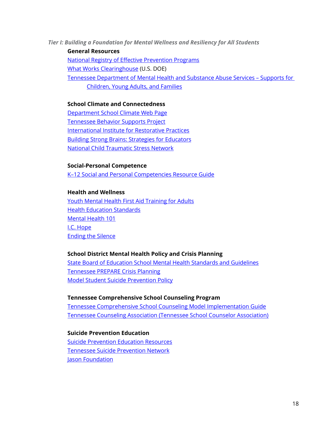*Tier I: Building a Foundation for Mental Wellness and Resiliency for All Students*

**General Resources**

[National Registry of Effective Prevention Programs](https://www.samhsa.gov/nrepp)

[What Works Clearinghouse](https://ies.ed.gov/ncee/wwc/FWW/Results?filters=,Behavior) (U.S. DOE)

[Tennessee Department of Mental Health and Substance Abuse Services –](https://www.tn.gov/behavioral-health/mental-health-services/mental-health-services-for-children-and-youth.html) Supports for

[Children, Young Adults, and Families](https://www.tn.gov/behavioral-health/mental-health-services/mental-health-services-for-children-and-youth.html)

#### **School Climate and Connectedness**

[Department School Climate Web](https://www.tn.gov/education/health-and-safety/school-climate.html) Page [Tennessee Behavior Supports Project](http://tennesseebsp.org/about-us/what-is-rti2-b/) [International Institute for Restorative Practices](https://www.iirp.edu/) [Building Strong Brains: Strategies for Educators](https://www.tn.gov/education/health-and-safety/safe-schools-training.html) [National Child Traumatic Stress Network](https://www.nctsn.org/audiences/school-personnel)

**Social-Personal Competence**

[K–12 Social and Personal Competencies Resource Guide](https://www.tn.gov/content/dam/tn/education/safety/safe_sch/SPC_Resource_Guide.pdf)

#### **Health and Wellness**

[Youth Mental Health First Aid Training for Adults](https://www.mentalhealthfirstaid.org/take-a-course/course-types/youth/) [Health Education Standards](https://www.tn.gov/education/instruction/academic-standards/health-pe-wellness-standards.html) [Mental Health 101](https://www.mhaet.com/what-we-do/mental-health-101/) [I.C. Hope](http://www.mhamt.org/i-c-hope-erasing-the-stigma/) [Ending the Silence](http://namitn.org/ending-the-silence/)

#### **School District Mental Health Policy and Crisis Planning**

State Board of Education [School Mental Health Standards and Guidelines](https://www.tn.gov/content/dam/tn/stateboardofeducation/documents/policies/4000/4.209_Mental_Health_Guidelines.pdf) [Tennessee PREPARE Crisis Planning](https://www.tn.gov/education/health-and-safety/safe-schools-training.html) [Model Student Suicide Prevention Policy](https://www.tn.gov/content/dam/tn/education/safety/suicide_prevention_policy.pdf)

#### **Tennessee Comprehensive School Counseling Program**

[Tennessee Comprehensive School Counseling Model Implementation Guide](https://www.tn.gov/content/dam/tn/education/ccte/ccte_counseling_implementation_guide.pdf) [Tennessee Counseling Association \(Tennessee School Counselor Association\)](https://www.regonline.com/builder/site/Default.aspx?EventId=20988)

**Suicide Prevention Education** [Suicide Prevention Education Resources](https://www.tn.gov/education/health-and-safety/suicide-prevention.html) [Tennessee Suicide Prevention Network](http://tspn.org/) **[Jason Foundation](http://jasonfoundation.com/)**